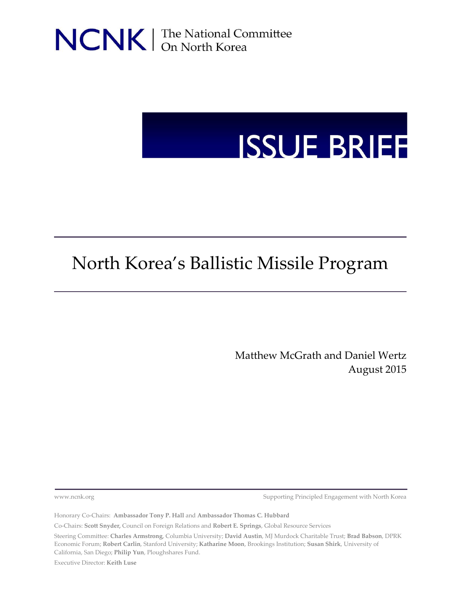NCNK | The National Committee

# **ISSUE BRIEF**

# North Korea's Ballistic Missile Program

Matthew McGrath and Daniel Wertz August 2015

[www.ncnk.org](http://www.ncnk.org/) **Supporting Principled Engagement with North Korea** 

Honorary Co-Chairs: **Ambassador Tony P. Hall** and **Ambassador Thomas C. Hubbard**

Co-Chairs: **Scott Snyder,** Council on Foreign Relations and **Robert E. Springs**, Global Resource Services

Steering Committee: **Charles Armstrong**, Columbia University; **David Austin**, MJ Murdock Charitable Trust; **Brad Babson**, DPRK Economic Forum; **Robert Carlin**, Stanford University; **Katharine Moon**, Brookings Institution; **Susan Shirk**, University of California, San Diego; **Philip Yun**, Ploughshares Fund.

Executive Director: **Keith Luse**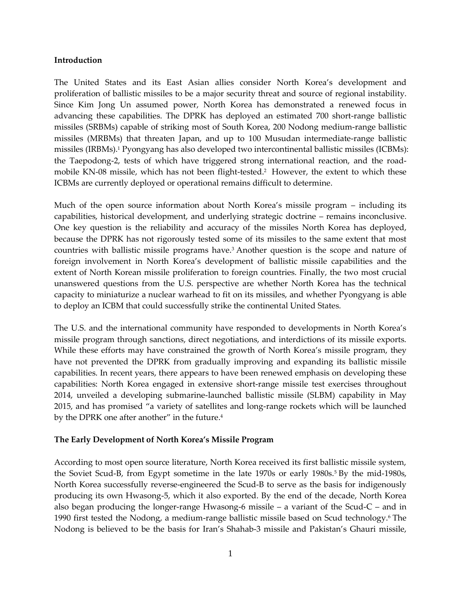### **Introduction**

The United States and its East Asian allies consider North Korea's development and proliferation of ballistic missiles to be a major security threat and source of regional instability. Since Kim Jong Un assumed power, North Korea has demonstrated a renewed focus in advancing these capabilities. The DPRK has deployed an estimated 700 short-range ballistic missiles (SRBMs) capable of striking most of South Korea, 200 Nodong medium-range ballistic missiles (MRBMs) that threaten Japan, and up to 100 Musudan intermediate-range ballistic missiles (IRBMs). <sup>1</sup> Pyongyang has also developed two intercontinental ballistic missiles (ICBMs): the Taepodong-2, tests of which have triggered strong international reaction, and the roadmobile KN-08 missile, which has not been flight-tested.<sup>2</sup> However, the extent to which these ICBMs are currently deployed or operational remains difficult to determine.

Much of the open source information about North Korea's missile program – including its capabilities, historical development, and underlying strategic doctrine – remains inconclusive. One key question is the reliability and accuracy of the missiles North Korea has deployed, because the DPRK has not rigorously tested some of its missiles to the same extent that most countries with ballistic missile programs have.<sup>3</sup> Another question is the scope and nature of foreign involvement in North Korea's development of ballistic missile capabilities and the extent of North Korean missile proliferation to foreign countries. Finally, the two most crucial unanswered questions from the U.S. perspective are whether North Korea has the technical capacity to miniaturize a nuclear warhead to fit on its missiles, and whether Pyongyang is able to deploy an ICBM that could successfully strike the continental United States.

The U.S. and the international community have responded to developments in North Korea's missile program through sanctions, direct negotiations, and interdictions of its missile exports. While these efforts may have constrained the growth of North Korea's missile program, they have not prevented the DPRK from gradually improving and expanding its ballistic missile capabilities. In recent years, there appears to have been renewed emphasis on developing these capabilities: North Korea engaged in extensive short-range missile test exercises throughout 2014, unveiled a developing submarine-launched ballistic missile (SLBM) capability in May 2015, and has promised "a variety of satellites and long-range rockets which will be launched by the DPRK one after another" in the future.<sup>4</sup>

# **The Early Development of North Korea's Missile Program**

According to most open source literature, North Korea received its first ballistic missile system, the Soviet Scud-B, from Egypt sometime in the late 1970s or early 1980s.<sup>5</sup> By the mid-1980s, North Korea successfully reverse-engineered the Scud-B to serve as the basis for indigenously producing its own Hwasong-5, which it also exported. By the end of the decade, North Korea also began producing the longer-range Hwasong-6 missile  $-$  a variant of the Scud-C  $-$  and in 1990 first tested the Nodong, a medium-range ballistic missile based on Scud technology.<sup>6</sup> The Nodong is believed to be the basis for Iran's Shahab-3 missile and Pakistan's Ghauri missile,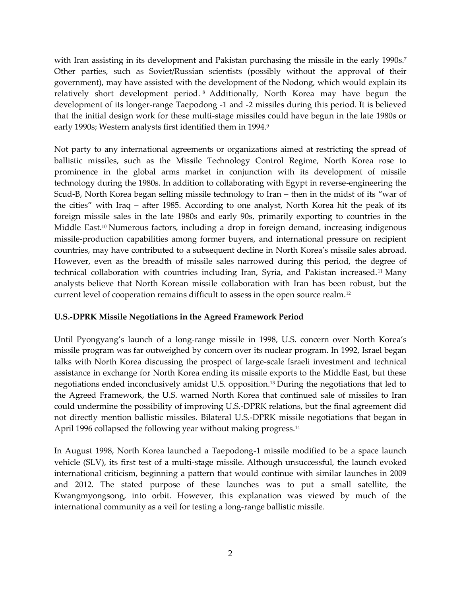with Iran assisting in its development and Pakistan purchasing the missile in the early 1990s.<sup>7</sup> Other parties, such as Soviet/Russian scientists (possibly without the approval of their government), may have assisted with the development of the Nodong, which would explain its relatively short development period. <sup>8</sup> Additionally, North Korea may have begun the development of its longer-range Taepodong -1 and -2 missiles during this period. It is believed that the initial design work for these multi-stage missiles could have begun in the late 1980s or early 1990s; Western analysts first identified them in 1994.9

Not party to any international agreements or organizations aimed at restricting the spread of ballistic missiles, such as the Missile Technology Control Regime, North Korea rose to prominence in the global arms market in conjunction with its development of missile technology during the 1980s. In addition to collaborating with Egypt in reverse-engineering the Scud-B, North Korea began selling missile technology to Iran – then in the midst of its "war of the cities" with Iraq – after 1985. According to one analyst, North Korea hit the peak of its foreign missile sales in the late 1980s and early 90s, primarily exporting to countries in the Middle East.<sup>10</sup> Numerous factors, including a drop in foreign demand, increasing indigenous missile-production capabilities among former buyers, and international pressure on recipient countries, may have contributed to a subsequent decline in North Korea's missile sales abroad. However, even as the breadth of missile sales narrowed during this period, the degree of technical collaboration with countries including Iran, Syria, and Pakistan increased.<sup>11</sup> Many analysts believe that North Korean missile collaboration with Iran has been robust, but the current level of cooperation remains difficult to assess in the open source realm.<sup>12</sup>

# **U.S.-DPRK Missile Negotiations in the Agreed Framework Period**

Until Pyongyang's launch of a long-range missile in 1998, U.S. concern over North Korea's missile program was far outweighed by concern over its nuclear program. In 1992, Israel began talks with North Korea discussing the prospect of large-scale Israeli investment and technical assistance in exchange for North Korea ending its missile exports to the Middle East, but these negotiations ended inconclusively amidst U.S. opposition.<sup>13</sup> During the negotiations that led to the Agreed Framework, the U.S. warned North Korea that continued sale of missiles to Iran could undermine the possibility of improving U.S.-DPRK relations, but the final agreement did not directly mention ballistic missiles. Bilateral U.S.-DPRK missile negotiations that began in April 1996 collapsed the following year without making progress.<sup>14</sup>

In August 1998, North Korea launched a Taepodong-1 missile modified to be a space launch vehicle (SLV), its first test of a multi-stage missile. Although unsuccessful, the launch evoked international criticism, beginning a pattern that would continue with similar launches in 2009 and 2012. The stated purpose of these launches was to put a small satellite, the Kwangmyongsong, into orbit. However, this explanation was viewed by much of the international community as a veil for testing a long-range ballistic missile.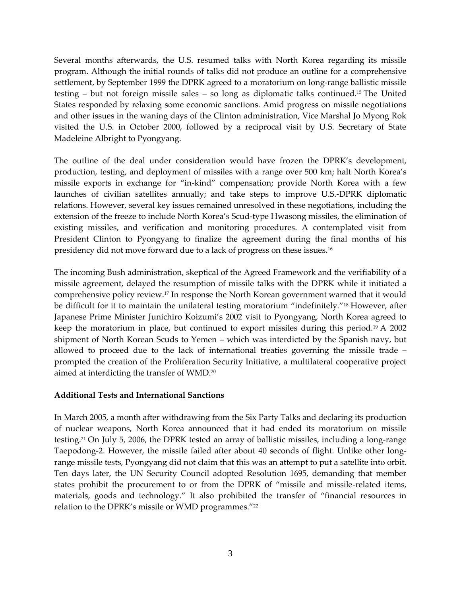Several months afterwards, the U.S. resumed talks with North Korea regarding its missile program. Although the initial rounds of talks did not produce an outline for a comprehensive settlement, by September 1999 the DPRK agreed to a moratorium on long-range ballistic missile testing – but not foreign missile sales – so long as diplomatic talks continued.<sup>15</sup> The United States responded by relaxing some economic sanctions. Amid progress on missile negotiations and other issues in the waning days of the Clinton administration, Vice Marshal Jo Myong Rok visited the U.S. in October 2000, followed by a reciprocal visit by U.S. Secretary of State Madeleine Albright to Pyongyang.

The outline of the deal under consideration would have frozen the DPRK's development, production, testing, and deployment of missiles with a range over 500 km; halt North Korea's missile exports in exchange for "in-kind" compensation; provide North Korea with a few launches of civilian satellites annually; and take steps to improve U.S.-DPRK diplomatic relations. However, several key issues remained unresolved in these negotiations, including the extension of the freeze to include North Korea's Scud-type Hwasong missiles, the elimination of existing missiles, and verification and monitoring procedures. A contemplated visit from President Clinton to Pyongyang to finalize the agreement during the final months of his presidency did not move forward due to a lack of progress on these issues.<sup>16</sup>

The incoming Bush administration, skeptical of the Agreed Framework and the verifiability of a missile agreement, delayed the resumption of missile talks with the DPRK while it initiated a comprehensive policy review.<sup>17</sup> In response the North Korean government warned that it would be difficult for it to maintain the unilateral testing moratorium "indefinitely."<sup>18</sup> However, after Japanese Prime Minister Junichiro Koizumi's 2002 visit to Pyongyang, North Korea agreed to keep the moratorium in place, but continued to export missiles during this period.<sup>19</sup> A 2002 shipment of North Korean Scuds to Yemen – which was interdicted by the Spanish navy, but allowed to proceed due to the lack of international treaties governing the missile trade – prompted the creation of the Proliferation Security Initiative, a multilateral cooperative project aimed at interdicting the transfer of WMD.<sup>20</sup>

# **Additional Tests and International Sanctions**

In March 2005, a month after withdrawing from the Six Party Talks and declaring its production of nuclear weapons, North Korea announced that it had ended its moratorium on missile testing. <sup>21</sup> On July 5, 2006, the DPRK tested an array of ballistic missiles, including a long-range Taepodong-2. However, the missile failed after about 40 seconds of flight. Unlike other longrange missile tests, Pyongyang did not claim that this was an attempt to put a satellite into orbit. Ten days later, the UN Security Council adopted Resolution 1695, demanding that member states prohibit the procurement to or from the DPRK of "missile and missile-related items, materials, goods and technology." It also prohibited the transfer of "financial resources in relation to the DPRK's missile or WMD programmes."<sup>22</sup>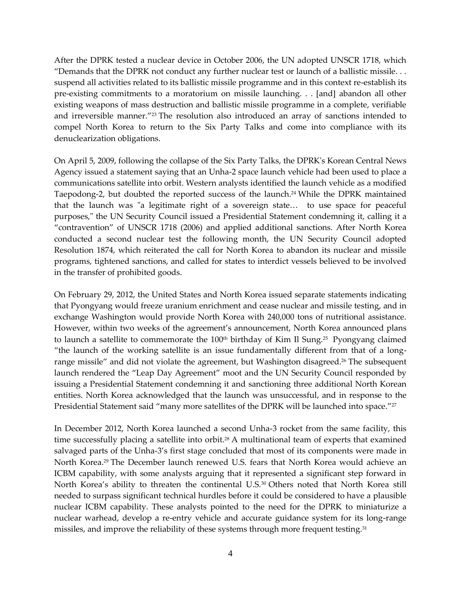After the DPRK tested a nuclear device in October 2006, the UN adopted UNSCR 1718, which "Demands that the DPRK not conduct any further nuclear test or launch of a ballistic missile. . . suspend all activities related to its ballistic missile programme and in this context re-establish its pre-existing commitments to a moratorium on missile launching. . . [and] abandon all other existing weapons of mass destruction and ballistic missile programme in a complete, verifiable and irreversible manner."<sup>23</sup> The resolution also introduced an array of sanctions intended to compel North Korea to return to the Six Party Talks and come into compliance with its denuclearization obligations.

On April 5, 2009, following the collapse of the Six Party Talks, the DPRK's Korean Central News Agency issued a statement saying that an Unha-2 space launch vehicle had been used to place a communications satellite into orbit. Western analysts identified the launch vehicle as a modified Taepodong-2, but doubted the reported success of the launch. <sup>24</sup> While the DPRK maintained that the launch was "a legitimate right of a sovereign state… to use space for peaceful purposes," the UN Security Council issued a Presidential Statement condemning it, calling it a "contravention" of UNSCR 1718 (2006) and applied additional sanctions. After North Korea conducted a second nuclear test the following month, the UN Security Council adopted Resolution 1874, which reiterated the call for North Korea to abandon its nuclear and missile programs, tightened sanctions, and called for states to interdict vessels believed to be involved in the transfer of prohibited goods.

On February 29, 2012, the United States and North Korea issued separate statements indicating that Pyongyang would freeze uranium enrichment and cease nuclear and missile testing, and in exchange Washington would provide North Korea with 240,000 tons of nutritional assistance. However, within two weeks of the agreement's announcement, North Korea announced plans to launch a satellite to commemorate the 100<sup>th</sup> birthday of Kim Il Sung.<sup>25</sup> Pyongyang claimed "the launch of the working satellite is an issue fundamentally different from that of a longrange missile" and did not violate the agreement, but Washington disagreed. <sup>26</sup> The subsequent launch rendered the "Leap Day Agreement" moot and the UN Security Council responded by issuing a Presidential Statement condemning it and sanctioning three additional North Korean entities. North Korea acknowledged that the launch was unsuccessful, and in response to the Presidential Statement said "many more satellites of the DPRK will be launched into space."<sup>27</sup>

In December 2012, North Korea launched a second Unha-3 rocket from the same facility, this time successfully placing a satellite into orbit.<sup>28</sup> A multinational team of experts that examined salvaged parts of the Unha-3's first stage concluded that most of its components were made in North Korea.<sup>29</sup> The December launch renewed U.S. fears that North Korea would achieve an ICBM capability, with some analysts arguing that it represented a significant step forward in North Korea's ability to threaten the continental U.S. <sup>30</sup> Others noted that North Korea still needed to surpass significant technical hurdles before it could be considered to have a plausible nuclear ICBM capability. These analysts pointed to the need for the DPRK to miniaturize a nuclear warhead, develop a re-entry vehicle and accurate guidance system for its long-range missiles, and improve the reliability of these systems through more frequent testing.<sup>31</sup>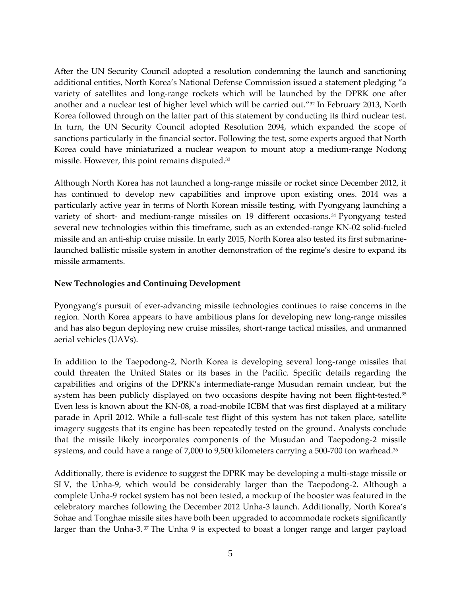After the UN Security Council adopted a resolution condemning the launch and sanctioning additional entities, North Korea's National Defense Commission issued a statement pledging "a variety of satellites and long-range rockets which will be launched by the DPRK one after another and a nuclear test of higher level which will be carried out."<sup>32</sup> In February 2013, North Korea followed through on the latter part of this statement by conducting its third nuclear test. In turn, the UN Security Council adopted Resolution 2094, which expanded the scope of sanctions particularly in the financial sector. Following the test, some experts argued that North Korea could have miniaturized a nuclear weapon to mount atop a medium-range Nodong missile. However, this point remains disputed. 33

Although North Korea has not launched a long-range missile or rocket since December 2012, it has continued to develop new capabilities and improve upon existing ones. 2014 was a particularly active year in terms of North Korean missile testing, with Pyongyang launching a variety of short- and medium-range missiles on 19 different occasions. <sup>34</sup> Pyongyang tested several new technologies within this timeframe, such as an extended-range KN-02 solid-fueled missile and an anti-ship cruise missile. In early 2015, North Korea also tested its first submarinelaunched ballistic missile system in another demonstration of the regime's desire to expand its missile armaments.

# **New Technologies and Continuing Development**

Pyongyang's pursuit of ever-advancing missile technologies continues to raise concerns in the region. North Korea appears to have ambitious plans for developing new long-range missiles and has also begun deploying new cruise missiles, short-range tactical missiles, and unmanned aerial vehicles (UAVs).

In addition to the Taepodong-2, North Korea is developing several long-range missiles that could threaten the United States or its bases in the Pacific. Specific details regarding the capabilities and origins of the DPRK's intermediate-range Musudan remain unclear, but the system has been publicly displayed on two occasions despite having not been flight-tested. 35 Even less is known about the KN-08, a road-mobile ICBM that was first displayed at a military parade in April 2012. While a full-scale test flight of this system has not taken place, satellite imagery suggests that its engine has been repeatedly tested on the ground. Analysts conclude that the missile likely incorporates components of the Musudan and Taepodong-2 missile systems, and could have a range of 7,000 to 9,500 kilometers carrying a 500-700 ton warhead.<sup>36</sup>

Additionally, there is evidence to suggest the DPRK may be developing a multi-stage missile or SLV, the Unha-9, which would be considerably larger than the Taepodong-2. Although a complete Unha-9 rocket system has not been tested, a mockup of the booster was featured in the celebratory marches following the December 2012 Unha-3 launch. Additionally, North Korea's Sohae and Tonghae missile sites have both been upgraded to accommodate rockets significantly larger than the Unha-3.<sup>37</sup> The Unha 9 is expected to boast a longer range and larger payload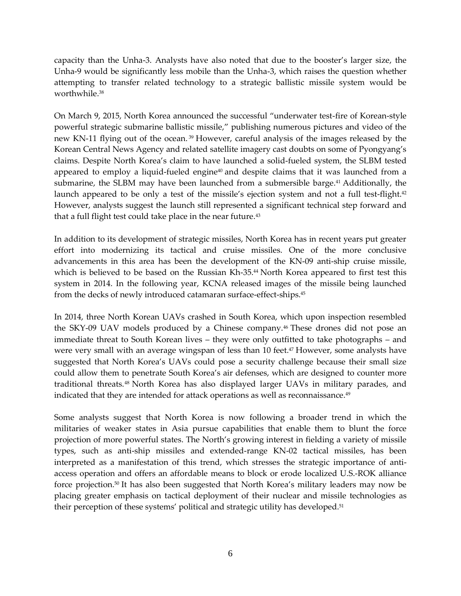capacity than the Unha-3. Analysts have also noted that due to the booster's larger size, the Unha-9 would be significantly less mobile than the Unha-3, which raises the question whether attempting to transfer related technology to a strategic ballistic missile system would be worthwhile. 38

On March 9, 2015, North Korea announced the successful "underwater test-fire of Korean-style powerful strategic submarine ballistic missile," publishing numerous pictures and video of the new KN-11 flying out of the ocean. <sup>39</sup> However, careful analysis of the images released by the Korean Central News Agency and related satellite imagery cast doubts on some of Pyongyang's claims. Despite North Korea's claim to have launched a solid-fueled system, the SLBM tested appeared to employ a liquid-fueled engine<sup> $40$ </sup> and despite claims that it was launched from a submarine, the SLBM may have been launched from a submersible barge.<sup>41</sup> Additionally, the launch appeared to be only a test of the missile's ejection system and not a full test-flight.<sup>42</sup> However, analysts suggest the launch still represented a significant technical step forward and that a full flight test could take place in the near future.<sup>43</sup>

In addition to its development of strategic missiles, North Korea has in recent years put greater effort into modernizing its tactical and cruise missiles. One of the more conclusive advancements in this area has been the development of the KN-09 anti-ship cruise missile, which is believed to be based on the Russian Kh-35. <sup>44</sup> North Korea appeared to first test this system in 2014. In the following year, KCNA released images of the missile being launched from the decks of newly introduced catamaran surface-effect-ships. 45

In 2014, three North Korean UAVs crashed in South Korea, which upon inspection resembled the SKY-09 UAV models produced by a Chinese company.<sup>46</sup> These drones did not pose an immediate threat to South Korean lives – they were only outfitted to take photographs – and were very small with an average wingspan of less than 10 feet. <sup>47</sup> However, some analysts have suggested that North Korea's UAVs could pose a security challenge because their small size could allow them to penetrate South Korea's air defenses, which are designed to counter more traditional threats.<sup>48</sup> North Korea has also displayed larger UAVs in military parades, and indicated that they are intended for attack operations as well as reconnaissance.<sup>49</sup>

Some analysts suggest that North Korea is now following a broader trend in which the militaries of weaker states in Asia pursue capabilities that enable them to blunt the force projection of more powerful states. The North's growing interest in fielding a variety of missile types, such as anti-ship missiles and extended-range KN-02 tactical missiles, has been interpreted as a manifestation of this trend, which stresses the strategic importance of antiaccess operation and offers an affordable means to block or erode localized U.S.-ROK alliance force projection. <sup>50</sup> It has also been suggested that North Korea's military leaders may now be placing greater emphasis on tactical deployment of their nuclear and missile technologies as their perception of these systems' political and strategic utility has developed.<sup>51</sup>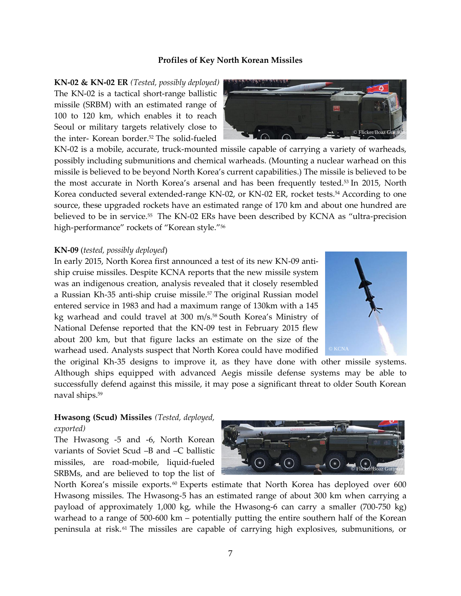#### **Profiles of Key North Korean Missiles**

**KN-02 & KN-02 ER** *(Tested, possibly deployed)* The KN-02 is a tactical short-range ballistic missile (SRBM) with an estimated range of 100 to 120 km, which enables it to reach Seoul or military targets relatively close to the inter- Korean border.<sup>52</sup> The solid-fueled

KN-02 is a mobile, accurate, truck-mounted missile capable of carrying a variety of warheads, possibly including submunitions and chemical warheads. (Mounting a nuclear warhead on this missile is believed to be beyond North Korea's current capabilities.) The missile is believed to be the most accurate in North Korea's arsenal and has been frequently tested.<sup>53</sup> In 2015, North Korea conducted several extended-range KN-02, or KN-02 ER, rocket tests.<sup>54</sup> According to one source, these upgraded rockets have an estimated range of 170 km and about one hundred are believed to be in service.<sup>55</sup> The KN-02 ERs have been described by KCNA as "ultra-precision high-performance" rockets of "Korean style."<sup>56</sup>

#### **KN-09** (*tested, possibly deployed*)

In early 2015, North Korea first announced a test of its new KN-09 antiship cruise missiles. Despite KCNA reports that the new missile system was an indigenous creation, analysis revealed that it closely resembled a Russian Kh-35 anti-ship cruise missile.<sup>57</sup> The original Russian model entered service in 1983 and had a maximum range of 130km with a 145 kg warhead and could travel at 300 m/s.<sup>58</sup> South Korea's Ministry of National Defense reported that the KN-09 test in February 2015 flew about 200 km, but that figure lacks an estimate on the size of the warhead used. Analysts suspect that North Korea could have modified



the original Kh-35 designs to improve it, as they have done with other missile systems. Although ships equipped with advanced Aegis missile defense systems may be able to successfully defend against this missile, it may pose a significant threat to older South Korean naval ships.<sup>59</sup>

## **Hwasong (Scud) Missiles** *(Tested, deployed,*

*exported)*

The Hwasong -5 and -6, North Korean variants of Soviet Scud –B and –C ballistic missiles, are road-mobile, liquid-fueled SRBMs, and are believed to top the list of

North Korea's missile exports.<sup>60</sup> Experts estimate that North Korea has deployed over 600 Hwasong missiles. The Hwasong-5 has an estimated range of about 300 km when carrying a payload of approximately 1,000 kg, while the Hwasong-6 can carry a smaller (700-750 kg) warhead to a range of 500-600 km – potentially putting the entire southern half of the Korean peninsula at risk. <sup>61</sup> The missiles are capable of carrying high explosives, submunitions, or



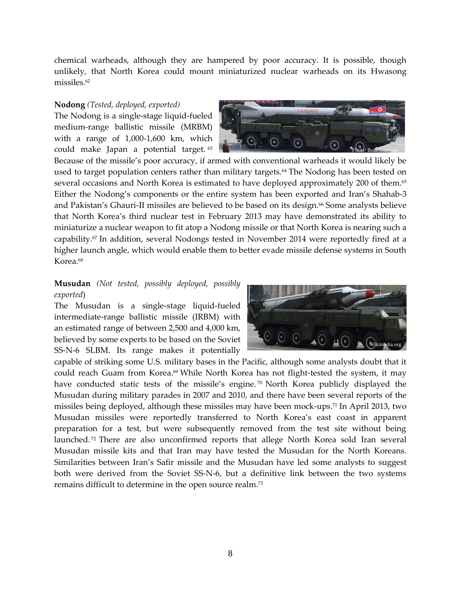chemical warheads, although they are hampered by poor accuracy. It is possible, though unlikely, that North Korea could mount miniaturized nuclear warheads on its Hwasong missiles.<sup>62</sup>

#### **Nodong** *(Tested, deployed, exported)*

The Nodong is a single-stage liquid-fueled medium-range ballistic missile (MRBM) with a range of 1,000-1,600 km, which could make Japan a potential target. <sup>63</sup>



Because of the missile's poor accuracy, if armed with conventional warheads it would likely be used to target population centers rather than military targets.<sup>64</sup> The Nodong has been tested on several occasions and North Korea is estimated to have deployed approximately 200 of them.<sup>65</sup> Either the Nodong's components or the entire system has been exported and Iran's Shahab-3 and Pakistan's Ghauri-II missiles are believed to be based on its design.<sup>66</sup> Some analysts believe that North Korea's third nuclear test in February 2013 may have demonstrated its ability to miniaturize a nuclear weapon to fit atop a Nodong missile or that North Korea is nearing such a capability.<sup>67</sup> In addition, several Nodongs tested in November 2014 were reportedly fired at a higher launch angle, which would enable them to better evade missile defense systems in South Korea. 68

# **Musudan** *(Not tested, possibly deployed, possibly exported*)

The Musudan is a single-stage liquid-fueled intermediate-range ballistic missile (IRBM) with an estimated range of between 2,500 and 4,000 km, believed by some experts to be based on the Soviet SS-N-6 SLBM. Its range makes it potentially



capable of striking some U.S. military bases in the Pacific, although some analysts doubt that it could reach Guam from Korea. <sup>69</sup> While North Korea has not flight-tested the system, it may have conducted static tests of the missile's engine.<sup>70</sup> North Korea publicly displayed the Musudan during military parades in 2007 and 2010, and there have been several reports of the missiles being deployed, although these missiles may have been mock-ups.<sup>71</sup> In April 2013, two Musudan missiles were reportedly transferred to North Korea's east coast in apparent preparation for a test, but were subsequently removed from the test site without being launched.<sup>72</sup> There are also unconfirmed reports that allege North Korea sold Iran several Musudan missile kits and that Iran may have tested the Musudan for the North Koreans. Similarities between Iran's Safir missile and the Musudan have led some analysts to suggest both were derived from the Soviet SS-N-6, but a definitive link between the two systems remains difficult to determine in the open source realm. 73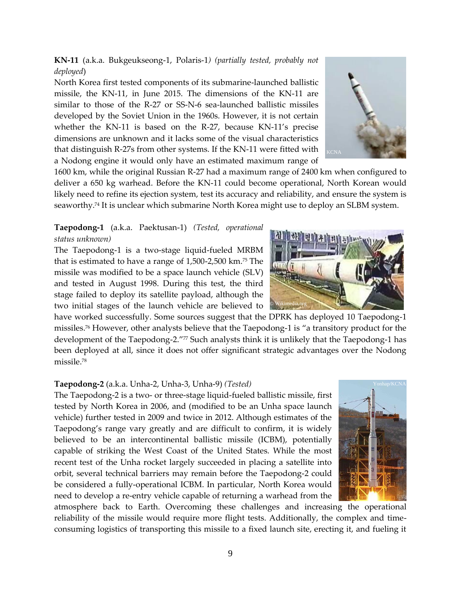**KN-11** (a.k.a. Bukgeukseong-1, Polaris-1*) (partially tested, probably not deployed*)

North Korea first tested components of its submarine-launched ballistic missile, the KN-11, in June 2015. The dimensions of the KN-11 are similar to those of the R-27 or SS-N-6 sea-launched ballistic missiles developed by the Soviet Union in the 1960s. However, it is not certain whether the KN-11 is based on the R-27, because KN-11's precise dimensions are unknown and it lacks some of the visual characteristics that distinguish R-27s from other systems. If the KN-11 were fitted with a Nodong engine it would only have an estimated maximum range of

1600 km, while the original Russian R-27 had a maximum range of 2400 km when configured to deliver a 650 kg warhead. Before the KN-11 could become operational, North Korean would likely need to refine its ejection system, test its accuracy and reliability, and ensure the system is seaworthy.<sup>74</sup> It is unclear which submarine North Korea might use to deploy an SLBM system.

# **Taepodong-1** (a.k.a. Paektusan-1) *(Tested, operational status unknown)*

The Taepodong-1 is a two-stage liquid-fueled MRBM that is estimated to have a range of 1,500-2,500 km.<sup>75</sup> The missile was modified to be a space launch vehicle (SLV) and tested in August 1998. During this test, the third stage failed to deploy its satellite payload, although the two initial stages of the launch vehicle are believed to

have worked successfully. Some sources suggest that the DPRK has deployed 10 Taepodong-1 missiles.<sup>76</sup> However, other analysts believe that the Taepodong-1 is "a transitory product for the development of the Taepodong-2."77 Such analysts think it is unlikely that the Taepodong-1 has been deployed at all, since it does not offer significant strategic advantages over the Nodong missile. 78

# **Taepodong-2** (a.k.a. Unha-2, Unha-3, Unha-9) *(Tested)*

The Taepodong-2 is a two- or three-stage liquid-fueled ballistic missile, first tested by North Korea in 2006, and (modified to be an Unha space launch vehicle) further tested in 2009 and twice in 2012. Although estimates of the Taepodong's range vary greatly and are difficult to confirm, it is widely believed to be an intercontinental ballistic missile (ICBM), potentially capable of striking the West Coast of the United States. While the most recent test of the Unha rocket largely succeeded in placing a satellite into orbit, several technical barriers may remain before the Taepodong-2 could be considered a fully-operational ICBM. In particular, North Korea would need to develop a re-entry vehicle capable of returning a warhead from the

atmosphere back to Earth. Overcoming these challenges and increasing the operational reliability of the missile would require more flight tests. Additionally, the complex and timeconsuming logistics of transporting this missile to a fixed launch site, erecting it, and fueling it





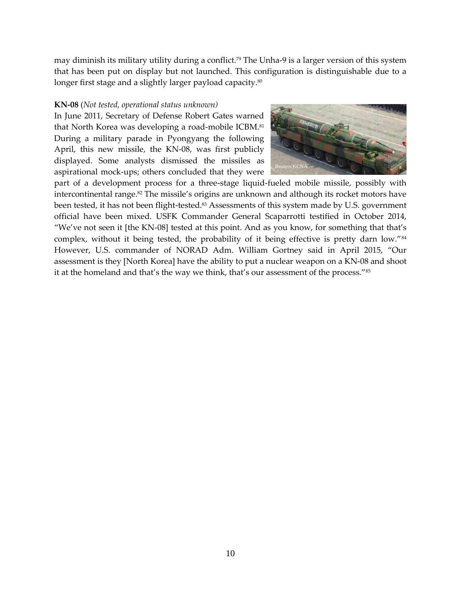may diminish its military utility during a conflict.<sup>79</sup> The Unha-9 is a larger version of this system that has been put on display but not launched. This configuration is distinguishable due to a longer first stage and a slightly larger payload capacity.<sup>80</sup>

#### **KN-08** (*Not tested, operational status unknown)*

In June 2011, Secretary of Defense Robert Gates warned that North Korea was developing a road-mobile ICBM.<sup>81</sup> During a military parade in Pyongyang the following April, this new missile, the KN-08, was first publicly displayed. Some analysts dismissed the missiles as aspirational mock-ups; others concluded that they were



part of a development process for a three-stage liquid-fueled mobile missile, possibly with intercontinental range.<sup>82</sup> The missile's origins are unknown and although its rocket motors have been tested, it has not been flight-tested.<sup>83</sup> Assessments of this system made by U.S. government official have been mixed. USFK Commander General Scaparrotti testified in October 2014, "We've not seen it [the KN-08] tested at this point. And as you know, for something that that's complex, without it being tested, the probability of it being effective is pretty darn low."<sup>84</sup> However, U.S. commander of NORAD Adm. William Gortney said in April 2015, "Our assessment is they [North Korea] have the ability to put a nuclear weapon on a KN-08 and shoot it at the homeland and that's the way we think, that's our assessment of the process."<sup>85</sup>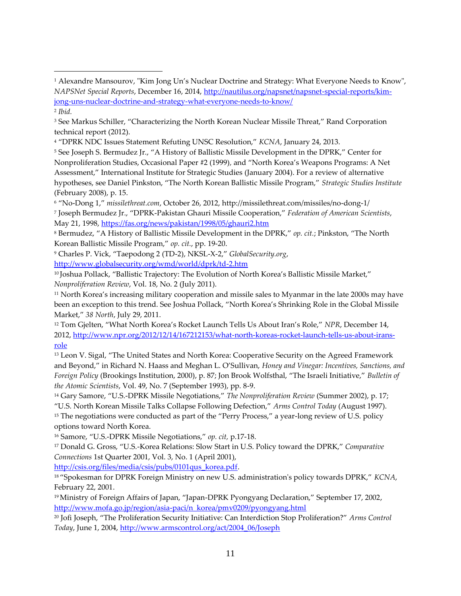<sup>5</sup> See Joseph S. Bermudez Jr., "A History of Ballistic Missile Development in the DPRK," Center for Nonproliferation Studies, Occasional Paper #2 (1999)*,* and "North Korea's Weapons Programs: A Net Assessment," International Institute for Strategic Studies (January 2004). For a review of alternative hypotheses, see Daniel Pinkston, "The North Korean Ballistic Missile Program," *Strategic Studies Institute* (February 2008), p. 15.

<sup>6</sup> "No-Dong 1," *missilethreat.com*, October 26, 2012, http://missilethreat.com/missiles/no-dong-1/

7 Joseph Bermudez Jr., "DPRK-Pakistan Ghauri Missile Cooperation," *Federation of American Scientists*, May 21, 1998[, https://fas.org/news/pakistan/1998/05/ghauri2.htm](https://fas.org/news/pakistan/1998/05/ghauri2.htm)

<sup>8</sup> Bermudez, "A History of Ballistic Missile Development in the DPRK," *op. cit.*; Pinkston, "The North Korean Ballistic Missile Program," *op. cit.*, pp. 19-20.

<sup>9</sup> Charles P. Vick, "Taepodong 2 (TD-2), NKSL-X-2," *GlobalSecurity.org*, <http://www.globalsecurity.org/wmd/world/dprk/td-2.htm>

 $\overline{a}$ 

<sup>10</sup> Joshua Pollack, "Ballistic Trajectory: The Evolution of North Korea's Ballistic Missile Market," *Nonproliferation Review*, Vol. 18, No. 2 (July 2011).

<sup>11</sup> North Korea's increasing military cooperation and missile sales to Myanmar in the late 2000s may have been an exception to this trend. See Joshua Pollack, "North Korea's Shrinking Role in the Global Missile Market," *38 North*, July 29, 2011.

<sup>12</sup> Tom Gjelten, "What North Korea's Rocket Launch Tells Us About Iran's Role," *NPR*, December 14, 2012, [http://www.npr.org/2012/12/14/167212153/what-north-koreas-rocket-launch-tells-us-about-irans](http://www.npr.org/2012/12/14/167212153/what-north-koreas-rocket-launch-tells-us-about-irans-role)[role](http://www.npr.org/2012/12/14/167212153/what-north-koreas-rocket-launch-tells-us-about-irans-role)

<sup>13</sup> Leon V. Sigal, "The United States and North Korea: Cooperative Security on the Agreed Framework and Beyond," in Richard N. Haass and Meghan L. O'Sullivan, *Honey and Vinegar: Incentives, Sanctions, and Foreign Policy* (Brookings Institution, 2000), p. 87; Jon Brook Wolfsthal, "The Israeli Initiative," *Bulletin of the Atomic Scientists*, Vol. 49, No. 7 (September 1993), pp. 8-9.

<sup>14</sup> Gary Samore, "U.S.-DPRK Missile Negotiations," *The Nonproliferation Review* (Summer 2002), p. 17; "U.S. North Korean Missile Talks Collapse Following Defection," *Arms Control Today* (August 1997). <sup>15</sup> The negotiations were conducted as part of the "Perry Process," a year-long review of U.S. policy options toward North Korea.

<sup>16</sup> Samore, "U.S.-DPRK Missile Negotiations," *op. cit,* p.17-18.

<sup>17</sup> Donald G. Gross, "U.S.-Korea Relations: Slow Start in U.S. Policy toward the DPRK," *Comparative Connections* 1st Quarter 2001, Vol. 3, No. 1 (April 2001),

[http://csis.org/files/media/csis/pubs/0101qus\\_korea.pdf.](http://csis.org/files/media/csis/pubs/0101qus_korea.pdf)

<sup>18</sup> "Spokesman for DPRK Foreign Ministry on new U.S. administration's policy towards DPRK," *KCNA*, February 22, 2001.

<sup>19</sup>Ministry of Foreign Affairs of Japan, "Japan-DPRK Pyongyang Declaration," September 17, 2002, [http://www.mofa.go.jp/region/asia-paci/n\\_korea/pmv0209/pyongyang.html](http://www.mofa.go.jp/region/asia-paci/n_korea/pmv0209/pyongyang.html)

<sup>20</sup> Jofi Joseph, "The Proliferation Security Initiative: Can Interdiction Stop Proliferation?" *Arms Control Today*, June 1, 2004[, http://www.armscontrol.org/act/2004\\_06/Joseph](http://www.armscontrol.org/act/2004_06/Joseph) 

<sup>1</sup> Alexandre Mansourov, "Kim Jong Un's Nuclear Doctrine and Strategy: What Everyone Needs to Know", *NAPSNet Special Reports*, December 16, 2014[, http://nautilus.org/napsnet/napsnet-special-reports/kim](http://nautilus.org/napsnet/napsnet-special-reports/kim-jong-uns-nuclear-doctrine-and-strategy-what-everyone-needs-to-know/)[jong-uns-nuclear-doctrine-and-strategy-what-everyone-needs-to-know/](http://nautilus.org/napsnet/napsnet-special-reports/kim-jong-uns-nuclear-doctrine-and-strategy-what-everyone-needs-to-know/) 2 *Ibid.*

<sup>3</sup> See Markus Schiller, "Characterizing the North Korean Nuclear Missile Threat," Rand Corporation technical report (2012).

<sup>4</sup> "DPRK NDC Issues Statement Refuting UNSC Resolution," *KCNA*, January 24, 2013.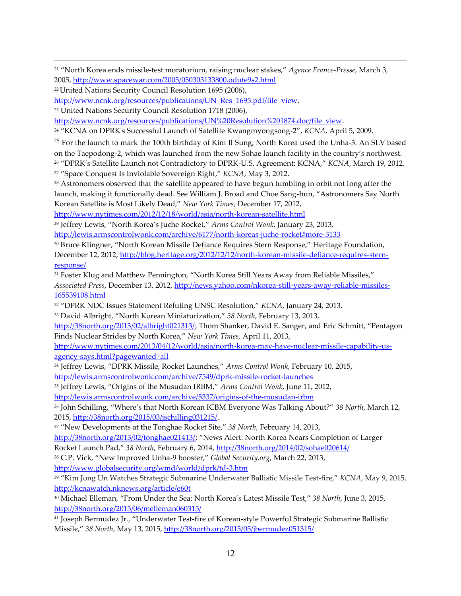<sup>21</sup> "North Korea ends missile-test moratorium, raising nuclear stakes," *Agence France-Presse*, March 3, 2005,<http://www.spacewar.com/2005/050303133800.odute9s2.html>

 $\overline{a}$ 

[http://www.ncnk.org/resources/publications/UN\\_Res\\_1695.pdf/file\\_view.](http://www.ncnk.org/resources/publications/UN_Res_1695.pdf/file_view)

<sup>23</sup> United Nations Security Council Resolution 1718 (2006),

[http://www.ncnk.org/resources/publications/UN%20Resolution%201874.doc/file\\_view.](http://www.ncnk.org/resources/publications/UN%20Resolution%201874.doc/file_view)

<sup>24</sup> "KCNA on DPRK's Successful Launch of Satellite Kwangmyongsong-2", *KCNA*, April 5, 2009.

<sup>25</sup> For the launch to mark the 100th birthday of Kim Il Sung, North Korea used the Unha-3. An SLV based

on the Taepodong-2, which was launched from the new Sohae launch facility in the country's northwest.

<sup>26</sup> "DPRK's Satellite Launch not Contradictory to DPRK-U.S. Agreement: KCNA," *KCNA*, March 19, 2012.

<sup>27</sup> "Space Conquest Is Inviolable Sovereign Right," *KCNA*, May 3, 2012.

<sup>28</sup> Astronomers observed that the satellite appeared to have begun tumbling in orbit not long after the launch, making it functionally dead. See William J. Broad and Choe Sang-hun, "Astronomers Say North Korean Satellite is Most Likely Dead," *New York Times*, December 17, 2012,

<http://www.nytimes.com/2012/12/18/world/asia/north-korean-satellite.html>

<sup>29</sup> Jeffrey Lewis, "North Korea's Juche Rocket," *Arms Control Wonk*, January 23, 2013,

<http://lewis.armscontrolwonk.com/archive/6177/north-koreas-juche-rocket#more-3133>

<sup>30</sup> Bruce Klingner, "North Korean Missile Defiance Requires Stern Response," Heritage Foundation, December 12, 2012, [http://blog.heritage.org/2012/12/12/north-korean-missile-defiance-requires-stern](http://blog.heritage.org/2012/12/12/north-korean-missile-defiance-requires-stern-response/)[response/](http://blog.heritage.org/2012/12/12/north-korean-missile-defiance-requires-stern-response/)

<sup>31</sup> Foster Klug and Matthew Pennington, "North Korea Still Years Away from Reliable Missiles," *Associated Press*, December 13, 2012[, http://news.yahoo.com/nkorea-still-years-away-reliable-missiles-](http://news.yahoo.com/nkorea-still-years-away-reliable-missiles-165539108.html)[165539108.html](http://news.yahoo.com/nkorea-still-years-away-reliable-missiles-165539108.html)

<sup>32</sup> "DPRK NDC Issues Statement Refuting UNSC Resolution," *KCNA*, January 24, 2013.

<sup>33</sup> David Albright, "North Korean Miniaturization," *38 North*, February 13, 2013,

<http://38north.org/2013/02/albright021313/>; Thom Shanker, David E. Sanger, and Eric Schmitt, "Pentagon Finds Nuclear Strides by North Korea," *New York Times,* April 11, 2013,

[http://www.nytimes.com/2013/04/12/world/asia/north-korea-may-have-nuclear-missile-capability-us](http://www.nytimes.com/2013/04/12/world/asia/north-korea-may-have-nuclear-missile-capability-us-agency-says.html?pagewanted=all)[agency-says.html?pagewanted=all](http://www.nytimes.com/2013/04/12/world/asia/north-korea-may-have-nuclear-missile-capability-us-agency-says.html?pagewanted=all)

<sup>34</sup> Jeffrey Lewis, "DPRK Missile, Rocket Launches," *Arms Control Wonk*, February 10, 2015, <http://lewis.armscontrolwonk.com/archive/7549/dprk-missile-rocket-launches>

<sup>35</sup> Jeffrey Lewis, "Origins of the Musudan IRBM," *Arms Control Wonk*, June 11, 2012,

<http://lewis.armscontrolwonk.com/archive/5337/origins-of-the-musudan-irbm>

<sup>36</sup> John Schilling, "Where's that North Korean ICBM Everyone Was Talking About?" *38 North*, March 12, 2015, [http://38north.org/2015/03/jschilling031215/.](http://38north.org/2015/03/jschilling031215/)

<sup>37</sup> "New Developments at the Tonghae Rocket Site," *38 North*, February 14, 2013,

[http://38north.org/2013/02/tonghae021413/;](http://38north.org/2013/02/tonghae021413/) "News Alert: North Korea Nears Completion of Larger

Rocket Launch Pad," *38 North*, February 6, 2014,<http://38north.org/2014/02/sohae020614/>

<sup>38</sup> C.P. Vick, "New Improved Unha-9 booster," *Global Security.org*, March 22, 2013, <http://www.globalsecurity.org/wmd/world/dprk/td-3.htm>

<sup>39</sup> "Kim Jong Un Watches Strategic Submarine Underwater Ballistic Missile Test-fire," *KCNA*, May 9, 2015, <http://kcnawatch.nknews.org/article/e60t>

<sup>40</sup> Michael Elleman, "From Under the Sea: North Korea's Latest Missile Test," *38 North*, June 3, 2015, <http://38north.org/2015/06/melleman060315/>

<sup>41</sup> Joseph Bermudez Jr., "Underwater Test-fire of Korean-style Powerful Strategic Submarine Ballistic Missile," *38 North*, May 13, 2015,<http://38north.org/2015/05/jbermudez051315/>

<sup>22</sup> United Nations Security Council Resolution 1695 (2006),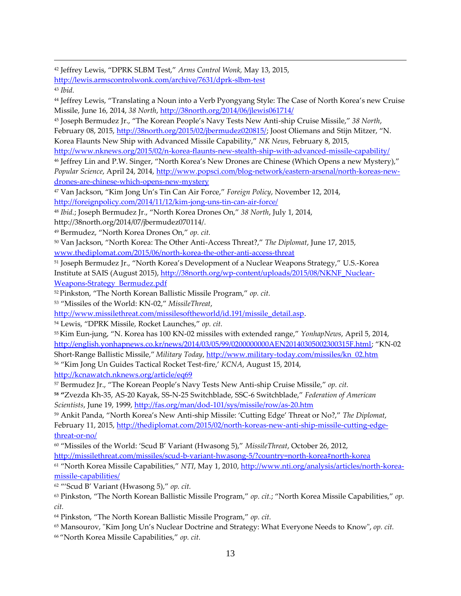<sup>42</sup> Jeffrey Lewis, "DPRK SLBM Test," *Arms Control Wonk,* May 13, 2015, <http://lewis.armscontrolwonk.com/archive/7631/dprk-slbm-test>

 $\overline{a}$ 

<sup>44</sup> Jeffrey Lewis, "Translating a Noun into a Verb Pyongyang Style: The Case of North Korea's new Cruise Missile, June 16, 2014, *38 North*,<http://38north.org/2014/06/jlewis061714/>

<sup>45</sup> Joseph Bermudez Jr., "The Korean People's Navy Tests New Anti-ship Cruise Missile," *38 North*, February 08, 2015, [http://38north.org/2015/02/jbermudez020815/;](http://38north.org/2015/02/jbermudez020815/) Joost Oliemans and Stijn Mitzer, "N.

Korea Flaunts New Ship with Advanced Missile Capability," *NK News*, February 8, 2015,

<http://www.nknews.org/2015/02/n-korea-flaunts-new-stealth-ship-with-advanced-missile-capability/>

<sup>46</sup> Jeffrey Lin and P.W. Singer, "North Korea's New Drones are Chinese (Which Opens a new Mystery)," *Popular Science*, April 24, 2014[, http://www.popsci.com/blog-network/eastern-arsenal/north-koreas-new](http://www.popsci.com/blog-network/eastern-arsenal/north-koreas-new-drones-are-chinese-which-opens-new-mystery)[drones-are-chinese-which-opens-new-mystery](http://www.popsci.com/blog-network/eastern-arsenal/north-koreas-new-drones-are-chinese-which-opens-new-mystery)

<sup>47</sup> Van Jackson, "Kim Jong Un's Tin Can Air Force," *Foreign Policy*, November 12, 2014, <http://foreignpolicy.com/2014/11/12/kim-jong-uns-tin-can-air-force/>

<sup>48</sup> *Ibid.*; Joseph Bermudez Jr., "North Korea Drones On," *38 North*, July 1, 2014,

http://38north.org/2014/07/jbermudez070114/*.* 

<sup>49</sup> Bermudez, "North Korea Drones On," *op. cit.*

<sup>50</sup> Van Jackson, "North Korea: The Other Anti-Access Threat?," *The Diplomat*, June 17, 2015, [www.thediplomat.com/2015/06/north-korea-the-other-anti-access-threat](http://www.thediplomat.com/2015/06/north-korea-the-other-anti-access-threat)

<sup>51</sup> Joseph Bermudez Jr., "North Korea's Development of a Nuclear Weapons Strategy," U.S.-Korea Institute at SAIS (August 2015)[, http://38north.org/wp-content/uploads/2015/08/NKNF\\_Nuclear-](http://38north.org/wp-content/uploads/2015/08/NKNF_Nuclear-Weapons-Strategy_Bermudez.pdf)[Weapons-Strategy\\_Bermudez.pdf](http://38north.org/wp-content/uploads/2015/08/NKNF_Nuclear-Weapons-Strategy_Bermudez.pdf)

<sup>52</sup> Pinkston, "The North Korean Ballistic Missile Program," *op. cit.*

<sup>53</sup> "Missiles of the World: KN-02," *MissileThreat*,

[http://www.missilethreat.com/missilesoftheworld/id.191/missile\\_detail.asp.](http://www.missilethreat.com/missilesoftheworld/id.191/missile_detail.asp)

<sup>54</sup> Lewis, "DPRK Missile, Rocket Launches," *op. cit.*

<sup>55</sup> Kim Eun-jung, "N. Korea has 100 KN-02 missiles with extended range," *YonhapNews*, April 5, 2014, <http://english.yonhapnews.co.kr/news/2014/03/05/99/0200000000AEN20140305002300315F.html>; "KN-02 Short-Range Ballistic Missile," *Military Today*, [http://www.military-today.com/missiles/kn\\_02.htm](http://www.military-today.com/missiles/kn_02.htm) <sup>56</sup> "Kim Jong Un Guides Tactical Rocket Test-fire,' *KCNA*, August 15, 2014,

<http://kcnawatch.nknews.org/article/eq69>

<sup>57</sup> Bermudez Jr., "The Korean People's Navy Tests New Anti-ship Cruise Missile," *op. cit.*

**<sup>58</sup> "**Zvezda Kh-35, AS-20 Kayak, SS-N-25 Switchblade, SSC-6 Switchblade," *Federation of American Scientists*, June 19, 1999[, http://fas.org/man/dod-101/sys/missile/row/as-20.htm](http://fas.org/man/dod-101/sys/missile/row/as-20.htm)

<sup>59</sup> Ankit Panda, "North Korea's New Anti-ship Missile: 'Cutting Edge' Threat or No?," *The Diplomat*, February 11, 2015, [http://thediplomat.com/2015/02/north-koreas-new-anti-ship-missile-cutting-edge](http://thediplomat.com/2015/02/north-koreas-new-anti-ship-missile-cutting-edge-threat-or-no/)[threat-or-no/](http://thediplomat.com/2015/02/north-koreas-new-anti-ship-missile-cutting-edge-threat-or-no/)

<sup>60</sup> "Missiles of the World: 'Scud B' Variant (Hwasong 5)," *MissileThreat*, October 26, 2012, <http://missilethreat.com/missiles/scud-b-variant-hwasong-5/?country=north-korea#north-korea>

<sup>61</sup> "North Korea Missile Capabilities," *NTI*, May 1, 2010, [http://www.nti.org/analysis/articles/north-korea](http://www.nti.org/analysis/articles/north-korea-missile-capabilities/)[missile-capabilities/](http://www.nti.org/analysis/articles/north-korea-missile-capabilities/)

<sup>62</sup> "'Scud B' Variant (Hwasong 5)," *op. cit.*

<sup>63</sup> Pinkston, "The North Korean Ballistic Missile Program," *op. cit.*; "North Korea Missile Capabilities," *op. cit.*

<sup>64</sup> Pinkston, "The North Korean Ballistic Missile Program," *op. cit.*

<sup>65</sup> Mansourov, "Kim Jong Un's Nuclear Doctrine and Strategy: What Everyone Needs to Know", *op. cit.*

<sup>66</sup> "North Korea Missile Capabilities," *op. cit.*

<sup>43</sup> *Ibid.*